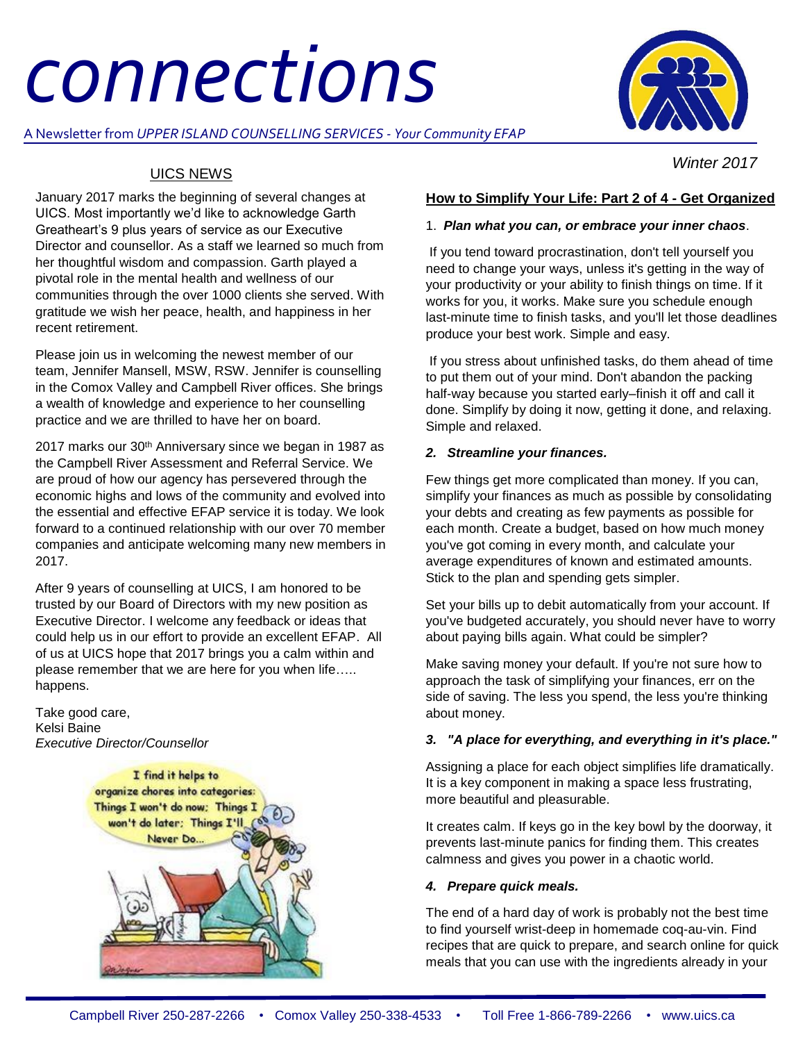# *connections*

A Newsletter from *UPPER ISLAND COUNSELLING SERVICES - Your Community EFAP*



 *Winter 2017*

# UICS NEWS

January 2017 marks the beginning of several changes at UICS. Most importantly we'd like to acknowledge Garth Greatheart's 9 plus years of service as our Executive Director and counsellor. As a staff we learned so much from her thoughtful wisdom and compassion. Garth played a pivotal role in the mental health and wellness of our communities through the over 1000 clients she served. With gratitude we wish her peace, health, and happiness in her recent retirement.

Please join us in welcoming the newest member of our team, Jennifer Mansell, MSW, RSW. Jennifer is counselling in the Comox Valley and Campbell River offices. She brings a wealth of knowledge and experience to her counselling practice and we are thrilled to have her on board.

2017 marks our 30<sup>th</sup> Anniversary since we began in 1987 as the Campbell River Assessment and Referral Service. We are proud of how our agency has persevered through the economic highs and lows of the community and evolved into the essential and effective EFAP service it is today. We look forward to a continued relationship with our over 70 member companies and anticipate welcoming many new members in 2017.

After 9 years of counselling at UICS, I am honored to be trusted by our Board of Directors with my new position as Executive Director. I welcome any feedback or ideas that could help us in our effort to provide an excellent EFAP. All of us at UICS hope that 2017 brings you a calm within and please remember that we are here for you when life….. happens.

Take good care, Kelsi Baine *Executive Director/Counsellor*



# **How to Simplify Your Life: Part 2 of 4 - Get Organized**

### 1. *Plan what you can, or embrace your inner chaos*.

If you tend toward procrastination, don't tell yourself you need to change your ways, unless it's getting in the way of your productivity or your ability to finish things on time. If it works for you, it works. Make sure you schedule enough last-minute time to finish tasks, and you'll let those deadlines produce your best work. Simple and easy.

If you stress about unfinished tasks, do them ahead of time to put them out of your mind. Don't abandon the packing half-way because you started early–finish it off and call it done. Simplify by doing it now, getting it done, and relaxing. Simple and relaxed.

## *2. Streamline your finances.*

Few things get more complicated than money. If you can, simplify your finances as much as possible by consolidating your debts and creating as few payments as possible for each month. Create a budget, based on how much money you've got coming in every month, and calculate your average expenditures of known and estimated amounts. Stick to the plan and spending gets simpler.

Set your bills up to debit automatically from your account. If you've budgeted accurately, you should never have to worry about paying bills again. What could be simpler?

Make saving money your default. If you're not sure how to approach the task of simplifying your finances, err on the side of saving. The less you spend, the less you're thinking about money.

### *3. "A place for everything, and everything in it's place."*

Assigning a place for each object simplifies life dramatically. It is a key component in making a space less frustrating, more beautiful and pleasurable.

It creates calm. If keys go in the key bowl by the doorway, it prevents last-minute panics for finding them. This creates calmness and gives you power in a chaotic world.

### *4. Prepare quick meals.*

The end of a hard day of work is probably not the best time to find yourself wrist-deep in homemade coq-au-vin. Find recipes that are quick to prepare, and search online for quick meals that you can use with the ingredients already in your